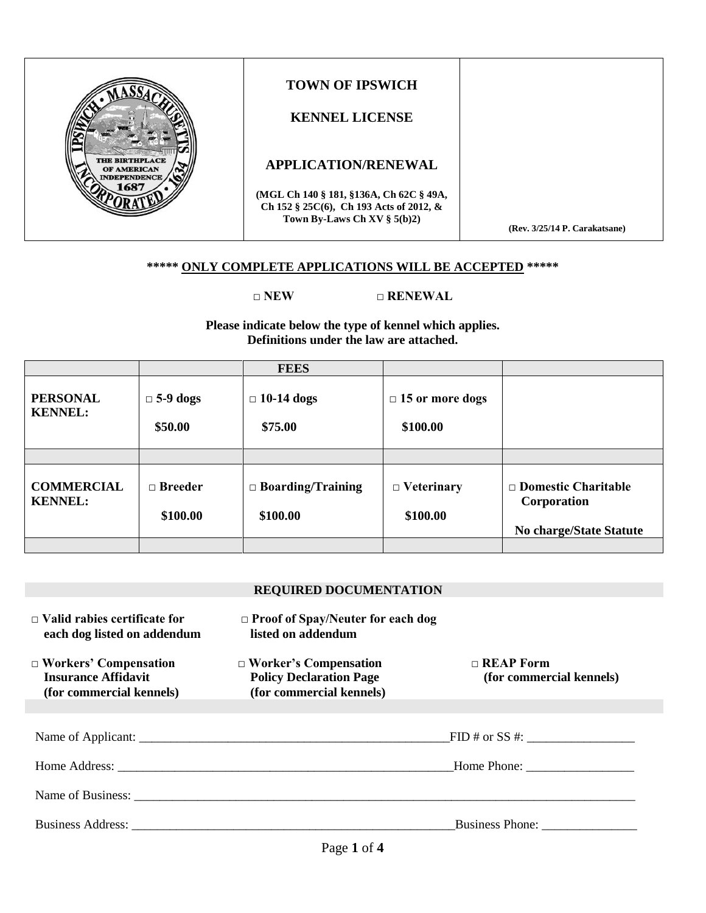|                                                            | <b>TOWN OF IPSWICH</b><br><b>KENNEL LICENSE</b>                                                                      |                               |
|------------------------------------------------------------|----------------------------------------------------------------------------------------------------------------------|-------------------------------|
| <b>THE BIRTHPLACE</b><br>OF AMERICAN<br><b>NDEPENDENCE</b> | <b>APPLICATION/RENEWAL</b>                                                                                           |                               |
|                                                            | (MGL Ch 140 § 181, §136A, Ch 62C § 49A,<br>Ch 152 § 25C(6), Ch 193 Acts of 2012, &<br>Town By-Laws Ch XV $\S$ 5(b)2) | (Rev. 3/25/14 P. Carakatsane) |

#### **\*\*\*\*\* ONLY COMPLETE APPLICATIONS WILL BE ACCEPTED \*\*\*\*\***

#### **□ NEW □ RENEWAL**

**Please indicate below the type of kennel which applies. Definitions under the law are attached.**

|                                     |                            | <b>FEES</b>                          |                                    |                                                                             |
|-------------------------------------|----------------------------|--------------------------------------|------------------------------------|-----------------------------------------------------------------------------|
| <b>PERSONAL</b><br><b>KENNEL:</b>   | $\Box$ 5-9 dogs<br>\$50.00 | $\Box$ 10-14 dogs<br>\$75.00         | $\Box$ 15 or more dogs<br>\$100.00 |                                                                             |
|                                     |                            |                                      |                                    |                                                                             |
| <b>COMMERCIAL</b><br><b>KENNEL:</b> | $\Box$ Breeder<br>\$100.00 | $\Box$ Boarding/Training<br>\$100.00 | $\Box$ Veterinary<br>\$100.00      | $\Box$ Domestic Charitable<br>Corporation<br><b>No charge/State Statute</b> |
|                                     |                            |                                      |                                    |                                                                             |

#### **REQUIRED DOCUMENTATION**

| $\Box$ Valid rabies certificate for<br>each dog listed on addendum                     | $\Box$ Proof of Spay/Neuter for each dog<br>listed on addendum                             |                                              |
|----------------------------------------------------------------------------------------|--------------------------------------------------------------------------------------------|----------------------------------------------|
| $\Box$ Workers' Compensation<br><b>Insurance Affidavit</b><br>(for commercial kennels) | $\Box$ Worker's Compensation<br><b>Policy Declaration Page</b><br>(for commercial kennels) | $\Box$ REAP Form<br>(for commercial kennels) |
|                                                                                        |                                                                                            |                                              |
|                                                                                        |                                                                                            | $FID \# \text{ or } SS \#:$                  |
|                                                                                        |                                                                                            | Home Phone:                                  |
|                                                                                        |                                                                                            |                                              |
|                                                                                        |                                                                                            | <b>Business Phone:</b>                       |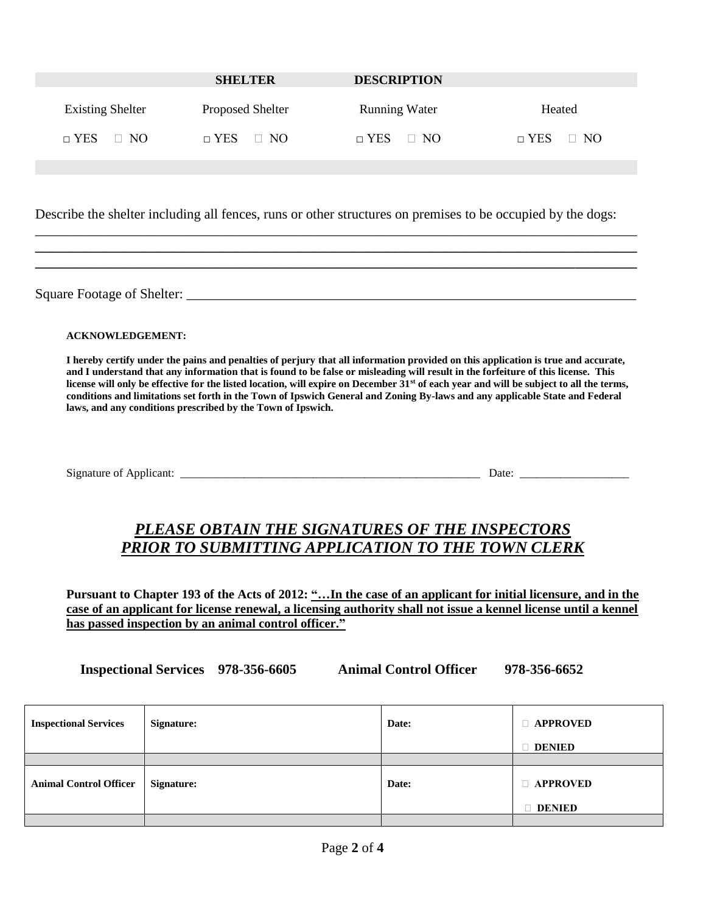|                         | <b>SHELTER</b>          | <b>DESCRIPTION</b>   |                      |
|-------------------------|-------------------------|----------------------|----------------------|
| <b>Existing Shelter</b> | <b>Proposed Shelter</b> | <b>Running Water</b> | Heated               |
| $\Box$ YES $\Box$ NO    | $\Box$ YES $\Box$ NO    | $\Box$ YES $\Box$ NO | $\Box$ YES $\Box$ NO |

Describe the shelter including all fences, runs or other structures on premises to be occupied by the dogs:

\_\_\_\_\_\_\_\_\_\_\_\_\_\_\_\_\_\_\_\_\_\_\_\_\_\_\_\_\_\_\_\_\_\_\_\_\_\_\_\_\_\_\_\_\_\_\_\_\_\_\_\_\_\_\_\_\_\_\_\_\_\_\_\_\_\_\_\_\_\_\_\_\_\_\_\_\_\_\_\_\_\_\_\_\_\_\_ **\_\_\_\_\_\_\_\_\_\_\_\_\_\_\_\_\_\_\_\_\_\_\_\_\_\_\_\_\_\_\_\_\_\_\_\_\_\_\_\_\_\_\_\_\_\_\_\_\_\_\_\_\_\_\_\_\_\_\_\_\_\_\_\_\_\_\_\_\_\_\_\_\_\_\_\_\_\_\_\_\_\_\_\_\_\_\_ \_\_\_\_\_\_\_\_\_\_\_\_\_\_\_\_\_\_\_\_\_\_\_\_\_\_\_\_\_\_\_\_\_\_\_\_\_\_\_\_\_\_\_\_\_\_\_\_\_\_\_\_\_\_\_\_\_\_\_\_\_\_\_\_\_\_\_\_\_\_\_\_\_\_\_\_\_\_\_\_\_\_\_\_\_\_\_**

Square Footage of Shelter: \_\_\_\_\_\_\_\_\_\_\_\_\_\_\_\_\_\_\_\_\_\_\_\_\_\_\_\_\_\_\_\_\_\_\_\_\_\_\_\_\_\_\_\_\_\_\_\_\_\_\_\_\_\_\_\_\_\_\_\_\_\_\_\_\_

**ACKNOWLEDGEMENT:**

**I hereby certify under the pains and penalties of perjury that all information provided on this application is true and accurate, and I understand that any information that is found to be false or misleading will result in the forfeiture of this license. This license will only be effective for the listed location, will expire on December 31st of each year and will be subject to all the terms, conditions and limitations set forth in the Town of Ipswich General and Zoning By-laws and any applicable State and Federal laws, and any conditions prescribed by the Town of Ipswich.**

Signature of Applicant: \_\_\_\_\_\_\_\_\_\_\_\_\_\_\_\_\_\_\_\_\_\_\_\_\_\_\_\_\_\_\_\_\_\_\_\_\_\_\_\_\_\_\_\_\_\_\_\_\_\_\_\_ Date: \_\_\_\_\_\_\_\_\_\_\_\_\_\_\_\_\_\_\_

## *PLEASE OBTAIN THE SIGNATURES OF THE INSPECTORS PRIOR TO SUBMITTING APPLICATION TO THE TOWN CLERK*

**Pursuant to Chapter 193 of the Acts of 2012: "…In the case of an applicant for initial licensure, and in the case of an applicant for license renewal, a licensing authority shall not issue a kennel license until a kennel has passed inspection by an animal control officer."**

**Inspectional Services 978-356-6605 Animal Control Officer 978-356-6652**

| <b>Inspectional Services</b>  | <b>Signature:</b> | Date: | $\Box$ APPROVED                  |  |
|-------------------------------|-------------------|-------|----------------------------------|--|
|                               |                   |       | $\Box$ DENIED                    |  |
|                               |                   |       |                                  |  |
| <b>Animal Control Officer</b> | <b>Signature:</b> | Date: | $\Box$ APPROVED<br><b>DENIED</b> |  |
|                               |                   |       |                                  |  |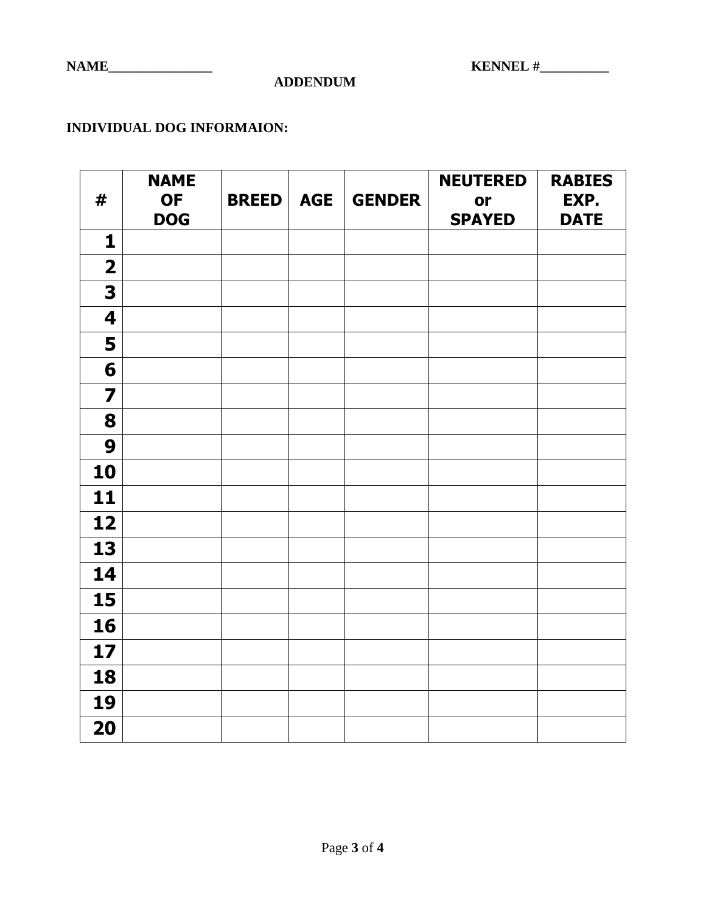**NAME\_\_\_\_\_\_\_\_\_\_\_\_\_\_\_ KENNEL #\_\_\_\_\_\_\_\_\_\_**

**ADDENDUM**

### **INDIVIDUAL DOG INFORMAION:**

| #                       | <b>NAME</b><br><b>OF</b> | <b>BREED</b> | <b>AGE</b> | <b>GENDER</b> | <b>NEUTERED</b><br>or | <b>RABIES</b><br>EXP. |
|-------------------------|--------------------------|--------------|------------|---------------|-----------------------|-----------------------|
|                         | <b>DOG</b>               |              |            |               | <b>SPAYED</b>         | <b>DATE</b>           |
| 1                       |                          |              |            |               |                       |                       |
| $\overline{\mathbf{2}}$ |                          |              |            |               |                       |                       |
| 3                       |                          |              |            |               |                       |                       |
| $\overline{\mathbf{4}}$ |                          |              |            |               |                       |                       |
| 5                       |                          |              |            |               |                       |                       |
| 6                       |                          |              |            |               |                       |                       |
| $\overline{\mathbf{z}}$ |                          |              |            |               |                       |                       |
| 8                       |                          |              |            |               |                       |                       |
| 9                       |                          |              |            |               |                       |                       |
| 10                      |                          |              |            |               |                       |                       |
| 11                      |                          |              |            |               |                       |                       |
| 12                      |                          |              |            |               |                       |                       |
| 13                      |                          |              |            |               |                       |                       |
| 14                      |                          |              |            |               |                       |                       |
| 15                      |                          |              |            |               |                       |                       |
| 16                      |                          |              |            |               |                       |                       |
| 17                      |                          |              |            |               |                       |                       |
| 18                      |                          |              |            |               |                       |                       |
| 19                      |                          |              |            |               |                       |                       |
| 20                      |                          |              |            |               |                       |                       |